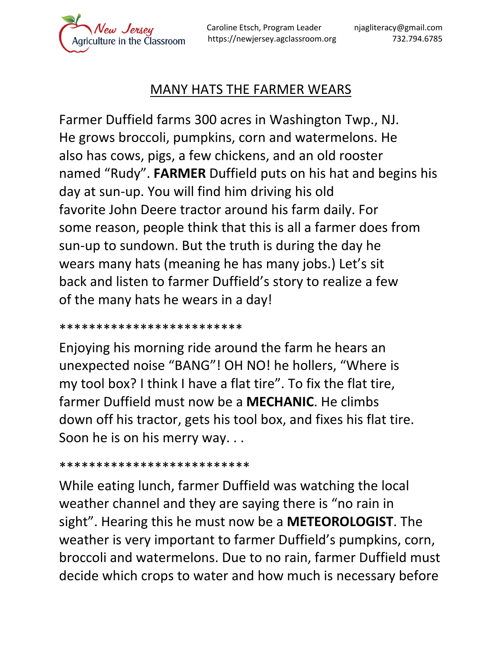lew Jersey

Caroline Etsch, Program Leader njagliteracy@gmail.com https://newjersey.agclassroom.org 732.794.6785

## MANY HATS THE FARMER WEARS

Farmer Duffield farms 300 acres in Washington Twp., NJ. He grows broccoli, pumpkins, corn and watermelons. He also has cows, pigs, a few chickens, and an old rooster named "Rudy". **FARMER** Duffield puts on his hat and begins his day at sun-up. You will find him driving his old favorite John Deere tractor around his farm daily. For some reason, people think that this is all a farmer does from sun-up to sundown. But the truth is during the day he wears many hats (meaning he has many jobs.) Let's sit back and listen to farmer Duffield's story to realize a few of the many hats he wears in a day!

\*\*\*\*\*\*\*\*\*\*\*\*\*\*\*\*\*\*\*\*\*\*\*\*\*

Enjoying his morning ride around the farm he hears an unexpected noise "BANG"! OH NO! he hollers, "Where is my tool box? I think I have a flat tire". To fix the flat tire, farmer Duffield must now be a **MECHANIC**. He climbs down off his tractor, gets his tool box, and fixes his flat tire. Soon he is on his merry way. . .

\*\*\*\*\*\*\*\*\*\*\*\*\*\*\*\*\*\*\*\*\*\*\*\*\*\*

While eating lunch, farmer Duffield was watching the local weather channel and they are saying there is "no rain in sight". Hearing this he must now be a **METEOROLOGIST**. The weather is very important to farmer Duffield's pumpkins, corn, broccoli and watermelons. Due to no rain, farmer Duffield must decide which crops to water and how much is necessary before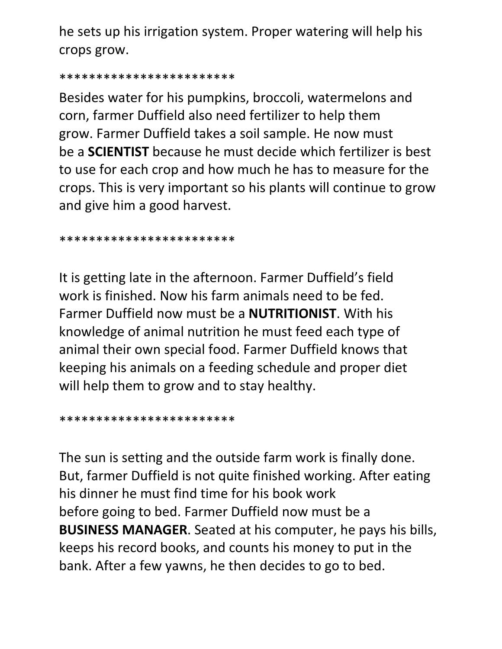he sets up his irrigation system. Proper watering will help his crops grow.

\*\*\*\*\*\*\*\*\*\*\*\*\*\*\*\*\*\*\*\*\*\*\*\*

Besides water for his pumpkins, broccoli, watermelons and corn, farmer Duffield also need fertilizer to help them grow. Farmer Duffield takes a soil sample. He now must be a **SCIENTIST** because he must decide which fertilizer is best to use for each crop and how much he has to measure for the crops. This is very important so his plants will continue to grow and give him a good harvest.

\*\*\*\*\*\*\*\*\*\*\*\*\*\*\*\*\*\*\*\*\*\*\*\*

It is getting late in the afternoon. Farmer Duffield's field work is finished. Now his farm animals need to be fed. Farmer Duffield now must be a **NUTRITIONIST**. With his knowledge of animal nutrition he must feed each type of animal their own special food. Farmer Duffield knows that keeping his animals on a feeding schedule and proper diet will help them to grow and to stay healthy.

\*\*\*\*\*\*\*\*\*\*\*\*\*\*\*\*\*\*\*\*\*\*\*\*

The sun is setting and the outside farm work is finally done. But, farmer Duffield is not quite finished working. After eating his dinner he must find time for his book work before going to bed. Farmer Duffield now must be a **BUSINESS MANAGER**. Seated at his computer, he pays his bills, keeps his record books, and counts his money to put in the bank. After a few yawns, he then decides to go to bed.